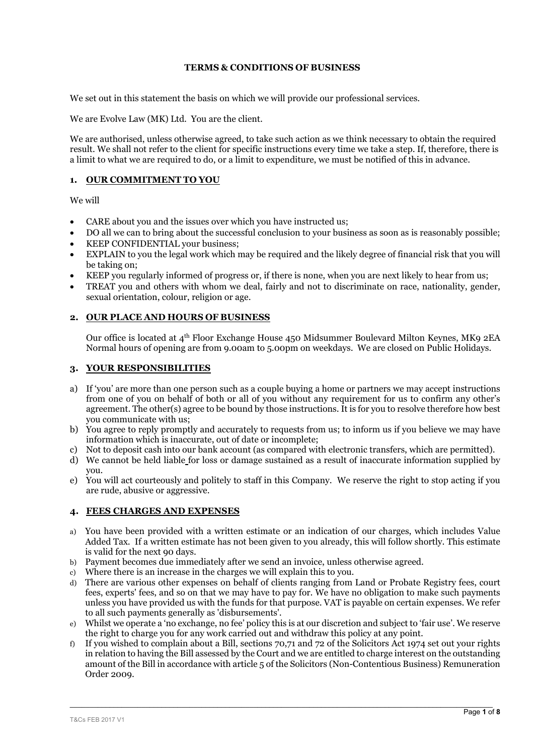## **TERMS & CONDITIONS OF BUSINESS**

We set out in this statement the basis on which we will provide our professional services.

We are Evolve Law (MK) Ltd. You are the client.

We are authorised, unless otherwise agreed, to take such action as we think necessary to obtain the required result. We shall not refer to the client for specific instructions every time we take a step. If, therefore, there is a limit to what we are required to do, or a limit to expenditure, we must be notified of this in advance.

## **1. OUR COMMITMENT TO YOU**

We will

- CARE about you and the issues over which you have instructed us;
- DO all we can to bring about the successful conclusion to your business as soon as is reasonably possible;
- KEEP CONFIDENTIAL your business;
- EXPLAIN to you the legal work which may be required and the likely degree of financial risk that you will be taking on;
- KEEP you regularly informed of progress or, if there is none, when you are next likely to hear from us;
- TREAT you and others with whom we deal, fairly and not to discriminate on race, nationality, gender, sexual orientation, colour, religion or age.

#### **2. OUR PLACE AND HOURS OF BUSINESS**

Our office is located at 4th Floor Exchange House 450 Midsummer Boulevard Milton Keynes, MK9 2EA Normal hours of opening are from 9.00am to 5.00pm on weekdays. We are closed on Public Holidays.

## **3. YOUR RESPONSIBILITIES**

- a) If 'you' are more than one person such as a couple buying a home or partners we may accept instructions from one of you on behalf of both or all of you without any requirement for us to confirm any other's agreement. The other(s) agree to be bound by those instructions. It is for you to resolve therefore how best you communicate with us;
- b) You agree to reply promptly and accurately to requests from us; to inform us if you believe we may have information which is inaccurate, out of date or incomplete;
- c) Not to deposit cash into our bank account (as compared with electronic transfers, which are permitted).
- d) We cannot be held liable for loss or damage sustained as a result of inaccurate information supplied by you.
- e) You will act courteously and politely to staff in this Company. We reserve the right to stop acting if you are rude, abusive or aggressive.

#### **4. FEES CHARGES AND EXPENSES**

- a) You have been provided with a written estimate or an indication of our charges, which includes Value Added Tax. If a written estimate has not been given to you already, this will follow shortly. This estimate is valid for the next 90 days.
- b) Payment becomes due immediately after we send an invoice, unless otherwise agreed.
- c) Where there is an increase in the charges we will explain this to you.
- d) There are various other expenses on behalf of clients ranging from Land or Probate Registry fees, court fees, experts' fees, and so on that we may have to pay for. We have no obligation to make such payments unless you have provided us with the funds for that purpose. VAT is payable on certain expenses. We refer to all such payments generally as 'disbursements'.
- e) Whilst we operate a 'no exchange, no fee' policy this is at our discretion and subject to 'fair use'. We reserve the right to charge you for any work carried out and withdraw this policy at any point.
- f) If you wished to complain about a Bill, sections 70,71 and 72 of the Solicitors Act 1974 set out your rights in relation to having the Bill assessed by the Court and we are entitled to charge interest on the outstanding amount of the Bill in accordance with article 5 of the Solicitors (Non-Contentious Business) Remuneration Order 2009.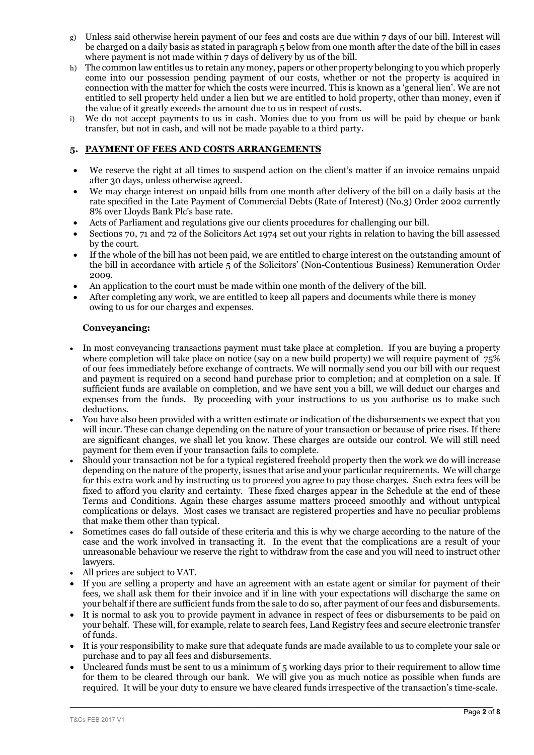- g) Unless said otherwise herein payment of our fees and costs are due within 7 days of our bill. Interest will be charged on a daily basis as stated in paragraph 5 below from one month after the date of the bill in cases where payment is not made within 7 days of delivery by us of the bill.
- h) The common law entitles us to retain any money, papers or other property belonging to you which properly come into our possession pending payment of our costs, whether or not the property is acquired in connection with the matter for which the costs were incurred. This is known as a 'general lien'. We are not entitled to sell property held under a lien but we are entitled to hold property, other than money, even if the value of it greatly exceeds the amount due to us in respect of costs.
- i) We do not accept payments to us in cash. Monies due to you from us will be paid by cheque or bank transfer, but not in cash, and will not be made payable to a third party.

# **5. PAYMENT OF FEES AND COSTS ARRANGEMENTS**

- We reserve the right at all times to suspend action on the client's matter if an invoice remains unpaid after 30 days, unless otherwise agreed.
- We may charge interest on unpaid bills from one month after delivery of the bill on a daily basis at the rate specified in the Late Payment of Commercial Debts (Rate of Interest) (No.3) Order 2002 currently 8% over Lloyds Bank Plc's base rate.
- Acts of Parliament and regulations give our clients procedures for challenging our bill.
- Sections 70, 71 and 72 of the Solicitors Act 1974 set out your rights in relation to having the bill assessed by the court.
- If the whole of the bill has not been paid, we are entitled to charge interest on the outstanding amount of the bill in accordance with article 5 of the Solicitors' (Non-Contentious Business) Remuneration Order 2009.
- An application to the court must be made within one month of the delivery of the bill.
- After completing any work, we are entitled to keep all papers and documents while there is money owing to us for our charges and expenses.

## **Conveyancing:**

- In most conveyancing transactions payment must take place at completion. If you are buying a property where completion will take place on notice (say on a new build property) we will require payment of 75% of our fees immediately before exchange of contracts. We will normally send you our bill with our request and payment is required on a second hand purchase prior to completion; and at completion on a sale. If sufficient funds are available on completion, and we have sent you a bill, we will deduct our charges and expenses from the funds. By proceeding with your instructions to us you authorise us to make such deductions.
- You have also been provided with a written estimate or indication of the disbursements we expect that you will incur. These can change depending on the nature of your transaction or because of price rises. If there are significant changes, we shall let you know. These charges are outside our control. We will still need payment for them even if your transaction fails to complete.
- Should your transaction not be for a typical registered freehold property then the work we do will increase depending on the nature of the property, issues that arise and your particular requirements. We will charge for this extra work and by instructing us to proceed you agree to pay those charges. Such extra fees will be fixed to afford you clarity and certainty. These fixed charges appear in the Schedule at the end of these Terms and Conditions. Again these charges assume matters proceed smoothly and without untypical complications or delays. Most cases we transact are registered properties and have no peculiar problems that make them other than typical.
- Sometimes cases do fall outside of these criteria and this is why we charge according to the nature of the case and the work involved in transacting it. In the event that the complications are a result of your unreasonable behaviour we reserve the right to withdraw from the case and you will need to instruct other lawyers.
- All prices are subject to VAT.
- If you are selling a property and have an agreement with an estate agent or similar for payment of their fees, we shall ask them for their invoice and if in line with your expectations will discharge the same on your behalf if there are sufficient funds from the sale to do so, after payment of our fees and disbursements.
- It is normal to ask you to provide payment in advance in respect of fees or disbursements to be paid on your behalf. These will, for example, relate to search fees, Land Registry fees and secure electronic transfer of funds.
- It is your responsibility to make sure that adequate funds are made available to us to complete your sale or purchase and to pay all fees and disbursements.
- Uncleared funds must be sent to us a minimum of 5 working days prior to their requirement to allow time for them to be cleared through our bank. We will give you as much notice as possible when funds are required. It will be your duty to ensure we have cleared funds irrespective of the transaction's time-scale.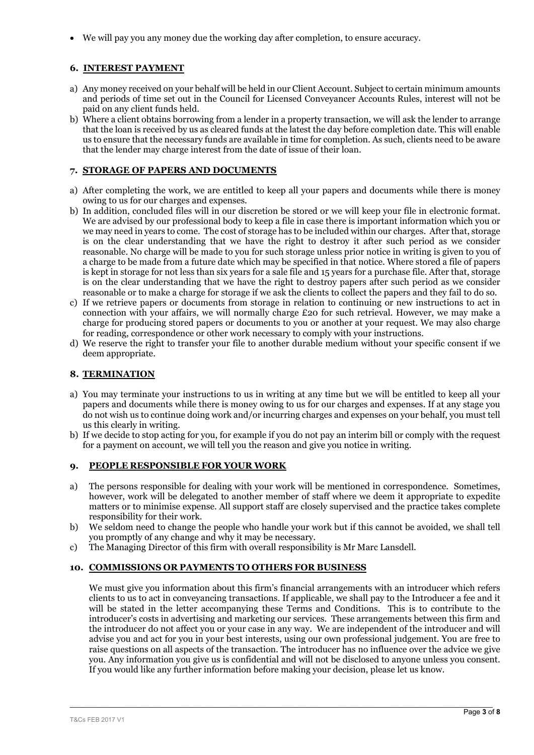We will pay you any money due the working day after completion, to ensure accuracy.

# **6. INTEREST PAYMENT**

- a) Any money received on your behalf will be held in our Client Account. Subject to certain minimum amounts and periods of time set out in the Council for Licensed Conveyancer Accounts Rules, interest will not be paid on any client funds held.
- b) Where a client obtains borrowing from a lender in a property transaction, we will ask the lender to arrange that the loan is received by us as cleared funds at the latest the day before completion date. This will enable us to ensure that the necessary funds are available in time for completion. As such, clients need to be aware that the lender may charge interest from the date of issue of their loan.

# **7. STORAGE OF PAPERS AND DOCUMENTS**

- a) After completing the work, we are entitled to keep all your papers and documents while there is money owing to us for our charges and expenses.
- b) In addition, concluded files will in our discretion be stored or we will keep your file in electronic format. We are advised by our professional body to keep a file in case there is important information which you or we may need in years to come. The cost of storage has to be included within our charges. After that, storage is on the clear understanding that we have the right to destroy it after such period as we consider reasonable. No charge will be made to you for such storage unless prior notice in writing is given to you of a charge to be made from a future date which may be specified in that notice. Where stored a file of papers is kept in storage for not less than six years for a sale file and 15 years for a purchase file. After that, storage is on the clear understanding that we have the right to destroy papers after such period as we consider reasonable or to make a charge for storage if we ask the clients to collect the papers and they fail to do so.
- c) If we retrieve papers or documents from storage in relation to continuing or new instructions to act in connection with your affairs, we will normally charge £20 for such retrieval. However, we may make a charge for producing stored papers or documents to you or another at your request. We may also charge for reading, correspondence or other work necessary to comply with your instructions.
- d) We reserve the right to transfer your file to another durable medium without your specific consent if we deem appropriate.

## **8. TERMINATION**

- a) You may terminate your instructions to us in writing at any time but we will be entitled to keep all your papers and documents while there is money owing to us for our charges and expenses. If at any stage you do not wish us to continue doing work and/or incurring charges and expenses on your behalf, you must tell us this clearly in writing.
- b) If we decide to stop acting for you, for example if you do not pay an interim bill or comply with the request for a payment on account, we will tell you the reason and give you notice in writing.

## **9. PEOPLE RESPONSIBLE FOR YOUR WORK**

- a) The persons responsible for dealing with your work will be mentioned in correspondence. Sometimes, however, work will be delegated to another member of staff where we deem it appropriate to expedite matters or to minimise expense. All support staff are closely supervised and the practice takes complete responsibility for their work.
- b) We seldom need to change the people who handle your work but if this cannot be avoided, we shall tell you promptly of any change and why it may be necessary.
- c) The Managing Director of this firm with overall responsibility is Mr Marc Lansdell.

## **10. COMMISSIONS OR PAYMENTS TO OTHERS FOR BUSINESS**

We must give you information about this firm's financial arrangements with an introducer which refers clients to us to act in conveyancing transactions. If applicable, we shall pay to the Introducer a fee and it will be stated in the letter accompanying these Terms and Conditions. This is to contribute to the introducer's costs in advertising and marketing our services. These arrangements between this firm and the introducer do not affect you or your case in any way. We are independent of the introducer and will advise you and act for you in your best interests, using our own professional judgement. You are free to raise questions on all aspects of the transaction. The introducer has no influence over the advice we give you. Any information you give us is confidential and will not be disclosed to anyone unless you consent. If you would like any further information before making your decision, please let us know.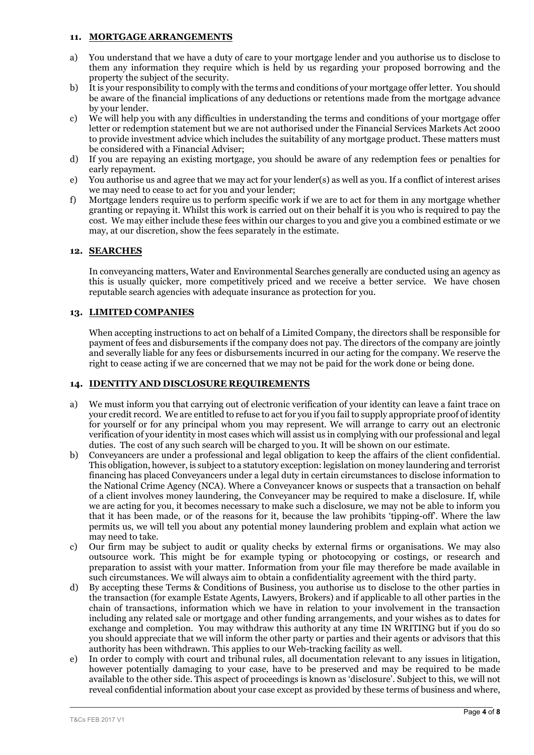#### **11. MORTGAGE ARRANGEMENTS**

- a) You understand that we have a duty of care to your mortgage lender and you authorise us to disclose to them any information they require which is held by us regarding your proposed borrowing and the property the subject of the security.
- b) It is your responsibility to comply with the terms and conditions of your mortgage offer letter. You should be aware of the financial implications of any deductions or retentions made from the mortgage advance by your lender.
- c) We will help you with any difficulties in understanding the terms and conditions of your mortgage offer letter or redemption statement but we are not authorised under the Financial Services Markets Act 2000 to provide investment advice which includes the suitability of any mortgage product. These matters must be considered with a Financial Adviser;
- d) If you are repaying an existing mortgage, you should be aware of any redemption fees or penalties for early repayment.
- e) You authorise us and agree that we may act for your lender(s) as well as you. If a conflict of interest arises we may need to cease to act for you and your lender;
- f) Mortgage lenders require us to perform specific work if we are to act for them in any mortgage whether granting or repaying it. Whilst this work is carried out on their behalf it is you who is required to pay the cost. We may either include these fees within our charges to you and give you a combined estimate or we may, at our discretion, show the fees separately in the estimate.

## **12. SEARCHES**

In conveyancing matters, Water and Environmental Searches generally are conducted using an agency as this is usually quicker, more competitively priced and we receive a better service. We have chosen reputable search agencies with adequate insurance as protection for you.

## **13. LIMITED COMPANIES**

When accepting instructions to act on behalf of a Limited Company, the directors shall be responsible for payment of fees and disbursements if the company does not pay. The directors of the company are jointly and severally liable for any fees or disbursements incurred in our acting for the company. We reserve the right to cease acting if we are concerned that we may not be paid for the work done or being done.

## 14. **IDENTITY AND DISCLOSURE REQUIREMENTS**

- a) We must inform you that carrying out of electronic verification of your identity can leave a faint trace on your credit record. We are entitled to refuse to act for you if you fail to supply appropriate proof of identity for yourself or for any principal whom you may represent. We will arrange to carry out an electronic verification of your identity in most cases which will assist us in complying with our professional and legal duties. The cost of any such search will be charged to you. It will be shown on our estimate.
- b) Conveyancers are under a professional and legal obligation to keep the affairs of the client confidential. This obligation, however, is subject to a statutory exception: legislation on money laundering and terrorist financing has placed Conveyancers under a legal duty in certain circumstances to disclose information to the National Crime Agency (NCA). Where a Conveyancer knows or suspects that a transaction on behalf of a client involves money laundering, the Conveyancer may be required to make a disclosure. If, while we are acting for you, it becomes necessary to make such a disclosure, we may not be able to inform you that it has been made, or of the reasons for it, because the law prohibits 'tipping-off'. Where the law permits us, we will tell you about any potential money laundering problem and explain what action we may need to take.
- c) Our firm may be subject to audit or quality checks by external firms or organisations. We may also outsource work. This might be for example typing or photocopying or costings, or research and preparation to assist with your matter. Information from your file may therefore be made available in such circumstances. We will always aim to obtain a confidentiality agreement with the third party.
- d) By accepting these Terms & Conditions of Business, you authorise us to disclose to the other parties in the transaction (for example Estate Agents, Lawyers, Brokers) and if applicable to all other parties in the chain of transactions, information which we have in relation to your involvement in the transaction including any related sale or mortgage and other funding arrangements, and your wishes as to dates for exchange and completion. You may withdraw this authority at any time IN WRITING but if you do so you should appreciate that we will inform the other party or parties and their agents or advisors that this authority has been withdrawn. This applies to our Web-tracking facility as well.
- e) In order to comply with court and tribunal rules, all documentation relevant to any issues in litigation, however potentially damaging to your case, have to be preserved and may be required to be made available to the other side. This aspect of proceedings is known as 'disclosure'. Subject to this, we will not reveal confidential information about your case except as provided by these terms of business and where,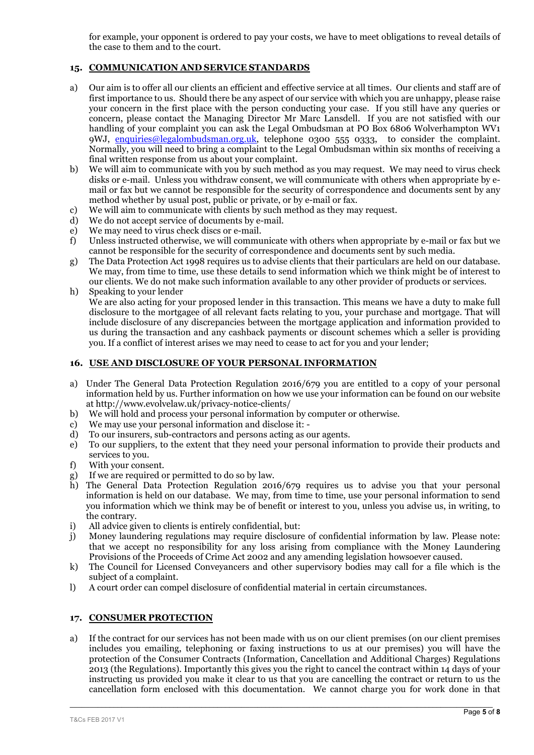for example, your opponent is ordered to pay your costs, we have to meet obligations to reveal details of the case to them and to the court.

## **15. COMMUNICATION ANDSERVICE STANDARDS**

- a) Our aim is to offer all our clients an efficient and effective service at all times. Our clients and staff are of first importance to us. Should there be any aspect of our service with which you are unhappy, please raise your concern in the first place with the person conducting your case. If you still have any queries or concern, please contact the Managing Director Mr Marc Lansdell. If you are not satisfied with our handling of your complaint you can ask the Legal Ombudsman at PO Box 6806 Wolverhampton WV1 9WJ, [enquiries@legalombudsman.org.uk](mailto:enquiries@legalombudsman.org.uk), telephone 0300 555 0333, to consider the complaint. Normally, you will need to bring a complaint to the Legal Ombudsman within six months of receiving a final written response from us about your complaint.
- b) We will aim to communicate with you by such method as you may request. We may need to virus check disks or e-mail. Unless you withdraw consent, we will communicate with others when appropriate by email or fax but we cannot be responsible for the security of correspondence and documents sent by any method whether by usual post, public or private, or by e-mail or fax.
- c) We will aim to communicate with clients by such method as they may request.
- d) We do not accept service of documents by e-mail.
- e) We may need to virus check discs or e-mail.
- f) Unless instructed otherwise, we will communicate with others when appropriate by e-mail or fax but we cannot be responsible for the security of correspondence and documents sent by such media.
- g) The Data Protection Act 1998 requires us to advise clients that their particulars are held on our database. We may, from time to time, use these details to send information which we think might be of interest to our clients. We do not make such information available to any other provider of products or services.
- h) Speaking to your lender We are also acting for your proposed lender in this transaction. This means we have a duty to make full disclosure to the mortgagee of all relevant facts relating to you, your purchase and mortgage. That will include disclosure of any discrepancies between the mortgage application and information provided to us during the transaction and any cashback payments or discount schemes which a seller is providing you. If a conflict of interest arises we may need to cease to act for you and your lender;

## **16. USE AND DISCLOSURE OF YOUR PERSONAL INFORMATION**

- a) Under The General Data Protection Regulation 2016/679 you are entitled to a copy of your personal information held by us. Further information on how we use your information can be found on our website at http://www.evolvelaw.uk/privacy-notice-clients/
- b) We will hold and process your personal information by computer or otherwise.
- c) We may use your personal information and disclose it: -
- d) To our insurers, sub-contractors and persons acting as our agents.
- e) To our suppliers, to the extent that they need your personal information to provide their products and services to you.
- f) With your consent.
- g) If we are required or permitted to do so by law.
- h) The General Data Protection Regulation 2016/679 requires us to advise you that your personal information is held on our database. We may, from time to time, use your personal information to send you information which we think may be of benefit or interest to you, unless you advise us, in writing, to the contrary.
- i) All advice given to clients is entirely confidential, but:
- j) Money laundering regulations may require disclosure of confidential information by law. Please note: that we accept no responsibility for any loss arising from compliance with the Money Laundering Provisions of the Proceeds of Crime Act 2002 and any amending legislation howsoever caused.
- k) The Council for Licensed Conveyancers and other supervisory bodies may call for a file which is the subject of a complaint.
- l) A court order can compel disclosure of confidential material in certain circumstances.

## **17. CONSUMER PROTECTION**

a) If the contract for our services has not been made with us on our client premises (on our client premises includes you emailing, telephoning or faxing instructions to us at our premises) you will have the protection of the Consumer Contracts (Information, Cancellation and Additional Charges) Regulations 2013 (the Regulations). Importantly this gives you the right to cancel the contract within 14 days of your instructing us provided you make it clear to us that you are cancelling the contract or return to us the cancellation form enclosed with this documentation. We cannot charge you for work done in that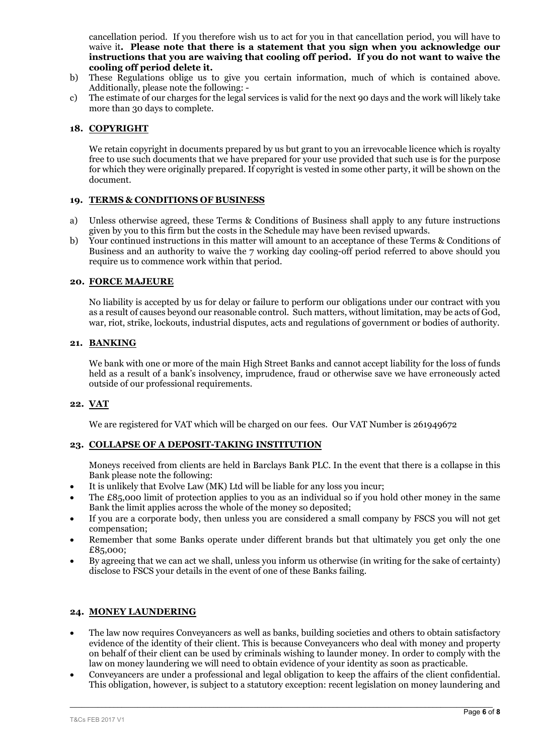cancellation period. If you therefore wish us to act for you in that cancellation period, you will have to waive it**. Please note that there is a statement that you sign when you acknowledge our instructions that you are waiving that cooling off period. If you do not want to waive the cooling off period delete it.**

- b) These Regulations oblige us to give you certain information, much of which is contained above. Additionally, please note the following: -
- c) The estimate of our charges for the legal services is valid for the next 90 days and the work will likely take more than 30 days to complete.

#### **18. COPYRIGHT**

We retain copyright in documents prepared by us but grant to you an irrevocable licence which is royalty free to use such documents that we have prepared for your use provided that such use is for the purpose for which they were originally prepared. If copyright is vested in some other party, it will be shown on the document.

#### **19. TERMS & CONDITIONS OF BUSINESS**

- a) Unless otherwise agreed, these Terms & Conditions of Business shall apply to any future instructions given by you to this firm but the costs in the Schedule may have been revised upwards.
- b) Your continued instructions in this matter will amount to an acceptance of these Terms & Conditions of Business and an authority to waive the 7 working day cooling-off period referred to above should you require us to commence work within that period.

#### **20. FORCE MAJEURE**

No liability is accepted by us for delay or failure to perform our obligations under our contract with you as a result of causes beyond our reasonable control. Such matters, without limitation, may be acts of God, war, riot, strike, lockouts, industrial disputes, acts and regulations of government or bodies of authority.

#### **21. BANKING**

We bank with one or more of the main High Street Banks and cannot accept liability for the loss of funds held as a result of a bank's insolvency, imprudence, fraud or otherwise save we have erroneously acted outside of our professional requirements.

## **22. VAT**

We are registered for VAT which will be charged on our fees. Our VAT Number is 261949672

## **23. COLLAPSE OF A DEPOSIT-TAKING INSTITUTION**

Moneys received from clients are held in Barclays Bank PLC. In the event that there is a collapse in this Bank please note the following:

- It is unlikely that Evolve Law (MK) Ltd will be liable for any loss you incur;
- The £85,000 limit of protection applies to you as an individual so if you hold other money in the same Bank the limit applies across the whole of the money so deposited;
- If you are a corporate body, then unless you are considered a small company by FSCS you will not get compensation;
- Remember that some Banks operate under different brands but that ultimately you get only the one £85,000;
- By agreeing that we can act we shall, unless you inform us otherwise (in writing for the sake of certainty) disclose to FSCS your details in the event of one of these Banks failing.

# **24. MONEY LAUNDERING**

- The law now requires Conveyancers as well as banks, building societies and others to obtain satisfactory evidence of the identity of their client. This is because Conveyancers who deal with money and property on behalf of their client can be used by criminals wishing to launder money. In order to comply with the law on money laundering we will need to obtain evidence of your identity as soon as practicable.
- Conveyancers are under a professional and legal obligation to keep the affairs of the client confidential. This obligation, however, is subject to a statutory exception: recent legislation on money laundering and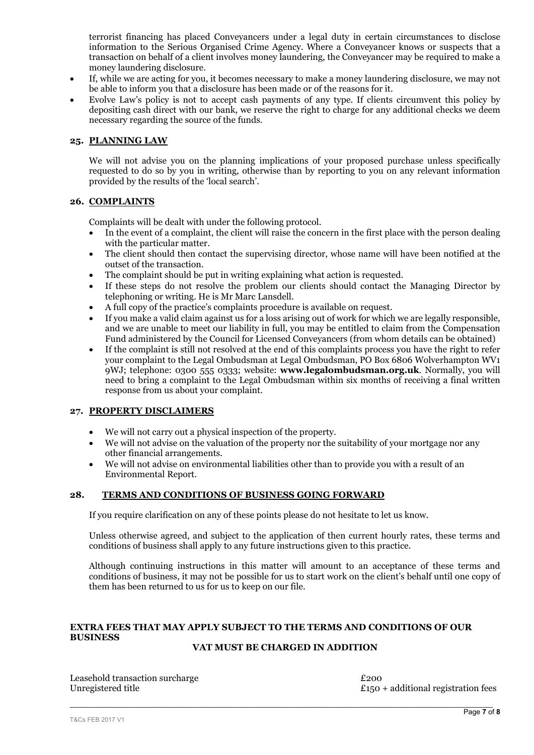terrorist financing has placed Conveyancers under a legal duty in certain circumstances to disclose information to the Serious Organised Crime Agency. Where a Conveyancer knows or suspects that a transaction on behalf of a client involves money laundering, the Conveyancer may be required to make a money laundering disclosure.

- If, while we are acting for you, it becomes necessary to make a money laundering disclosure, we may not be able to inform you that a disclosure has been made or of the reasons for it.
- Evolve Law's policy is not to accept cash payments of any type. If clients circumvent this policy by depositing cash direct with our bank, we reserve the right to charge for any additional checks we deem necessary regarding the source of the funds.

#### **25. PLANNING LAW**

We will not advise you on the planning implications of your proposed purchase unless specifically requested to do so by you in writing, otherwise than by reporting to you on any relevant information provided by the results of the 'local search'.

#### **26. COMPLAINTS**

Complaints will be dealt with under the following protocol.

- In the event of a complaint, the client will raise the concern in the first place with the person dealing with the particular matter.
- The client should then contact the supervising director, whose name will have been notified at the outset of the transaction.
- The complaint should be put in writing explaining what action is requested.
- If these steps do not resolve the problem our clients should contact the Managing Director by telephoning or writing. He is Mr Marc Lansdell.
- A full copy of the practice's complaints procedure is available on request.
- If you make a valid claim against us for a loss arising out of work for which we are legally responsible, and we are unable to meet our liability in full, you may be entitled to claim from the Compensation Fund administered by the Council for Licensed Conveyancers (from whom details can be obtained)
- If the complaint is still not resolved at the end of this complaints process you have the right to refer your complaint to the Legal Ombudsman at Legal Ombudsman, PO Box 6806 Wolverhampton WV1 9WJ; telephone: 0300 555 0333; website: **www.legalombudsman.org.uk**. Normally, you will need to bring a complaint to the Legal Ombudsman within six months of receiving a final written response from us about your complaint.

#### **27. PROPERTY DISCLAIMERS**

- We will not carry out a physical inspection of the property.
- We will not advise on the valuation of the property nor the suitability of your mortgage nor any other financial arrangements.
- We will not advise on environmental liabilities other than to provide you with a result of an Environmental Report.

## **28. TERMS AND CONDITIONS OF BUSINESS GOING FORWARD**

If you require clarification on any of these points please do not hesitate to let us know.

Unless otherwise agreed, and subject to the application of then current hourly rates, these terms and conditions of business shall apply to any future instructions given to this practice.

Although continuing instructions in this matter will amount to an acceptance of these terms and conditions of business, it may not be possible for us to start work on the client's behalf until one copy of them has been returned to us for us to keep on our file.

## **EXTRA FEES THAT MAY APPLY SUBJECT TO THE TERMS AND CONDITIONS OF OUR BUSINESS**

# **VAT MUST BE CHARGED IN ADDITION**

 $\_$  , and the set of the set of the set of the set of the set of the set of the set of the set of the set of the set of the set of the set of the set of the set of the set of the set of the set of the set of the set of th

Leasehold transaction surcharge  $\qquad$  £200 Unregistered title  $\qquad$  £150

 $£150 + additional registration fees$